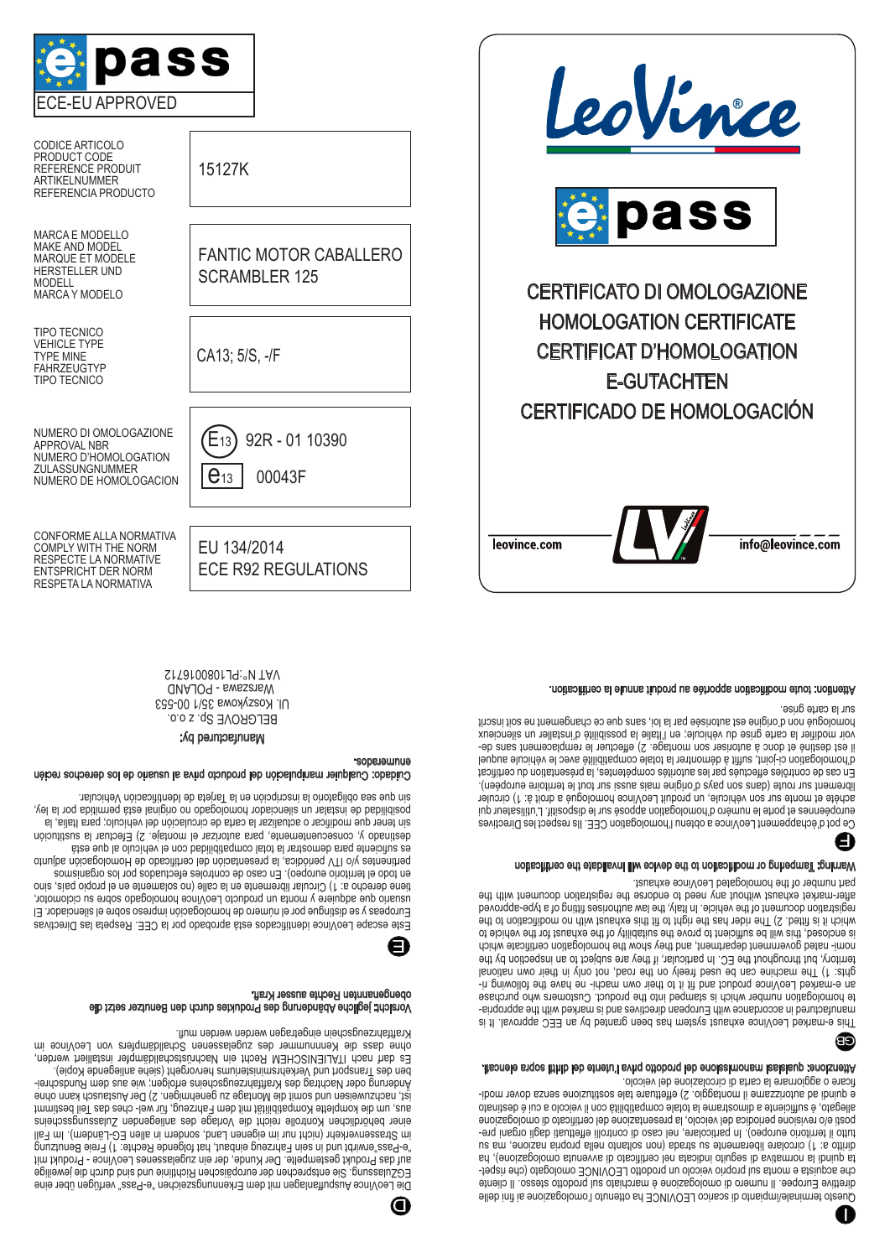

Attenzione: qualsiasi manomissione del prodotto priva l'utente dei diritti sopra elencati.

This e-marked LeoVince exhaust system has been granted by an EEC approval. It is - manufactured in accordance with European directives and is marked with the appropria te homologation number which is stamped into the product. Customers who purchase an e-marked LeoVince product and fit it to their own machi- ne have the following rights: 1) The machine can be used freely on the road, not only in their own national territory, but throughout the EC. In particular, if they are subject to an inspection by the nomi- nated government department, and they show the homologation certificate which is enclosed, this will be sufficient to prove the suitability of the exhaust for the vehicle to which it is fitted. 2) The right read that the right in a probability of modification to the registration document of the vehicle. In Italy, the law authorises fitting of a type-approved GB

part number of the homologated LeoVince exhaust. Warning: Tampering or modification to the device will invalidate the certification

Ce pot d'échappement LeoVince a obtenu l'homologation CEE. Ils respect les Directives européennes et porte le numéro d'homologation apposé sur le dispositif. L'utilisateur qui acuere et monte sur son venicule, un produit Leovince nomologue a droit a: 1) circuler librement sur route (dans son pays d'origine mais aussi sur tout le territoire européen). En cas de contrôles effectués par les autorités compétentes, la présentation du certificat d'homologation ci-joint, suffit à démontrer la totale compatibilité avec le véhicule auquel l est destiné et donc à autoriser son montage. 2) effectuer le remplacement sans devoir modifier la carte grise du véhicule; en l'Italie la possibilité d'installer un silencieux homologué non d'origine est autorisée par la loi, sans que ce changement ne soit inscrit sur la carte grise. F

after-market exhaust without any need to endorse the registration document with the

Attention: toute modification apportée au produit annule la certification.

|              | LeoVince                           |
|--------------|------------------------------------|
|              | pass                               |
|              | <b>CERTIFICATO DI OMOLOGAZIONE</b> |
|              | <b>HOMOLOGATION CERTIFICATE</b>    |
|              | <b>CERTIFICAT D'HOMOLOGATION</b>   |
|              | <b>E-GUTACHTEN</b>                 |
|              | CERTIFICADO DE HOMOLOGACIÓN        |
| leovince com | info@leovi                         |



**GUAJOR - BWESSTEW** 

CONFORME ALLA NORMATIVA COMPLY WITH THE NORM RESPECTE LA NORMATIVE ENTSPRICHT DER NORM

> BELGROVE Sp. z o.o. Ul. Koszykowa 35/1 00-553 S17010080119: "N TAV

Cuidado: Cualquier manipulación del producto priva al usuario de los derechos recién

Manufactured by:

Este escape LeoVince identificados está aprobado por la CEE. Respeta las Directivas Europeas y se distingue por el número de homologación impreso sobre el silenciador. El usuario dhe sqdnete i monta un producto LeoVince homologado sobre su ciclomotor, tiene derecho a: 1) Circular libremente en la calle (no solamente en el propio país, sino en todo el territorio europeo). En caso de controles efectuados por los organismos y/o ITV periódica, la presentación del certificado de Homologación adjunto pertinentes es suficiente para demostrar la total compatibilidad con el vehículo al que está y, consecuentemente, para autorizar el montaje. 2) Efectuar la sustitución destinado sin tener que modificar o actualizar la carta de circulación del vehículo; para Italia, la no original está permitida por la ley, homologado no original está permitida por la ley, arjeta de la gentificación de Inscripcion en la larjeta de Identificación Vehicular.

Vorsicht: jegliche Abänderung des Produktes durch den Benutzer setzt die

Kraftfahrzeugschein eingetragen werden werden mufl.

obengenannten Rechte ausser Kraft.

Die LeoVince Auspuffanlagen mit dem Erkennungszeichen "e-Pass" verfügen über eine EGZulassung. Sie entsprechen der europäischen Richtlinie und sind durch die jeweilige auf das Produkt gestempelte. Der Kunde, der ein zugelassenes LeoVince - Produkt mit "e-Pass"erwirbt und in sein Fahrzeug einbaut, hat folgende Rechte: 1) Freie Benutzung im Strassenverkehr (nicht nur im eigenen Land, sondern in allen EG-Ländern). Im Fall einer behördlichen Kontrolle reicht die Vorlage des anliegenden Zulassungsscheins aus, um die komplette Kompatibilität mit dem Fahrzeug, für wel- ches das Teil bestimmt ist, nachzuweisen und somit die Montage zu genehmigen. 2) Der Austausch kann ohne - Änderung oder Nachtrag des Kraftfahrzeugscheins erfolgen; wie aus dem Rundschrei ben des Transport und Verkehrsministeriums hervorgeht (siehe anliegende Kopie). Es darf nach ITALIENISCHEM Recht ein Nachrüstschalldämpfer installiert werden, ohne dass die Kennnummer des zugelassenen Schalldämpfers von LeoVince im

E

D

enumerados.

CODICE ARTICOLO PRODUCT CODE REFERENCE PRODUIT